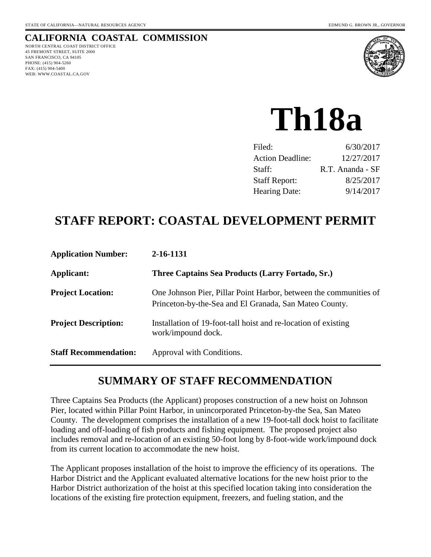# **CALIFORNIA COASTAL COMMISSION**

NORTH CENTRAL COAST DISTRICT OFFICE 45 FREMONT STREET, SUITE 2000 SAN FRANCISCO, CA 94105 PHONE: (415) 904-5260 FAX: (415) 904-5400 WEB: WWW.COASTAL.CA.GOV



# **Th18a**

| Filed:                  | 6/30/2017        |
|-------------------------|------------------|
| <b>Action Deadline:</b> | 12/27/2017       |
| Staff:                  | R.T. Ananda - SF |
| <b>Staff Report:</b>    | 8/25/2017        |
| <b>Hearing Date:</b>    | 9/14/2017        |

# **STAFF REPORT: COASTAL DEVELOPMENT PERMIT**

| <b>Application Number:</b>   | 2-16-1131                                                                                                                   |
|------------------------------|-----------------------------------------------------------------------------------------------------------------------------|
| Applicant:                   | Three Captains Sea Products (Larry Fortado, Sr.)                                                                            |
| <b>Project Location:</b>     | One Johnson Pier, Pillar Point Harbor, between the communities of<br>Princeton-by-the-Sea and El Granada, San Mateo County. |
| <b>Project Description:</b>  | Installation of 19-foot-tall hoist and re-location of existing<br>work/impound dock.                                        |
| <b>Staff Recommendation:</b> | Approval with Conditions.                                                                                                   |

# **SUMMARY OF STAFF RECOMMENDATION**

Three Captains Sea Products (the Applicant) proposes construction of a new hoist on Johnson Pier, located within Pillar Point Harbor, in unincorporated Princeton-by-the Sea, San Mateo County. The development comprises the installation of a new 19-foot-tall dock hoist to facilitate loading and off-loading of fish products and fishing equipment. The proposed project also includes removal and re-location of an existing 50-foot long by 8-foot-wide work/impound dock from its current location to accommodate the new hoist.

The Applicant proposes installation of the hoist to improve the efficiency of its operations. The Harbor District and the Applicant evaluated alternative locations for the new hoist prior to the Harbor District authorization of the hoist at this specified location taking into consideration the locations of the existing fire protection equipment, freezers, and fueling station, and the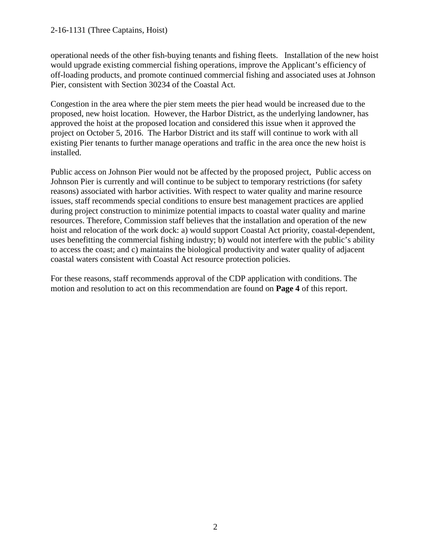#### 2-16-1131 (Three Captains, Hoist)

operational needs of the other fish-buying tenants and fishing fleets. Installation of the new hoist would upgrade existing commercial fishing operations, improve the Applicant's efficiency of off-loading products, and promote continued commercial fishing and associated uses at Johnson Pier, consistent with Section 30234 of the Coastal Act.

Congestion in the area where the pier stem meets the pier head would be increased due to the proposed, new hoist location. However, the Harbor District, as the underlying landowner, has approved the hoist at the proposed location and considered this issue when it approved the project on October 5, 2016. The Harbor District and its staff will continue to work with all existing Pier tenants to further manage operations and traffic in the area once the new hoist is installed.

Public access on Johnson Pier would not be affected by the proposed project, Public access on Johnson Pier is currently and will continue to be subject to temporary restrictions (for safety reasons) associated with harbor activities. With respect to water quality and marine resource issues, staff recommends special conditions to ensure best management practices are applied during project construction to minimize potential impacts to coastal water quality and marine resources. Therefore, Commission staff believes that the installation and operation of the new hoist and relocation of the work dock: a) would support Coastal Act priority, coastal-dependent, uses benefitting the commercial fishing industry; b) would not interfere with the public's ability to access the coast; and c) maintains the biological productivity and water quality of adjacent coastal waters consistent with Coastal Act resource protection policies.

For these reasons, staff recommends approval of the CDP application with conditions. The motion and resolution to act on this recommendation are found on **Page 4** of this report.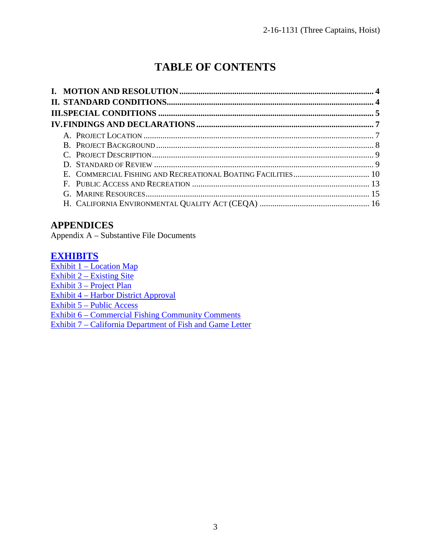# **TABLE OF CONTENTS**

# **APPENDICES**

Appendix A – Substantive File Documents

# **[EXHIBITS](https://documents.coastal.ca.gov/reports/2017/9/th18a/th18a-9-2017-report.pdf)**

[Exhibit 1 – Location](https://documents.coastal.ca.gov/reports/2017/9/th18a/th18a-9-2017-report.pdf) Map [Exhibit 2 – Existing Site](https://documents.coastal.ca.gov/reports/2017/9/th18a/th18a-9-2017-report.pdf)  [Exhibit 3 – Project Plan](https://documents.coastal.ca.gov/reports/2017/9/th18a/th18a-9-2017-report.pdf) [Exhibit 4 – Harbor District Approval](https://documents.coastal.ca.gov/reports/2017/9/th18a/th18a-9-2017-report.pdf) 

[Exhibit 5 – Public Access](https://documents.coastal.ca.gov/reports/2017/9/th18a/th18a-9-2017-report.pdf)

[Exhibit 6 – Commercial Fishing Community Comments](https://documents.coastal.ca.gov/reports/2017/9/th18a/th18a-9-2017-report.pdf)

[Exhibit 7 – California Department of Fish and Game Letter](https://documents.coastal.ca.gov/reports/2017/9/th18a/th18a-9-2017-report.pdf)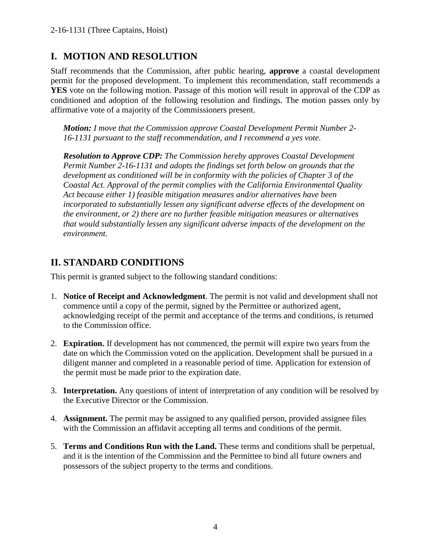# **I. MOTION AND RESOLUTION**

Staff recommends that the Commission, after public hearing, **approve** a coastal development permit for the proposed development. To implement this recommendation, staff recommends a **YES** vote on the following motion. Passage of this motion will result in approval of the CDP as conditioned and adoption of the following resolution and findings. The motion passes only by affirmative vote of a majority of the Commissioners present.

*Motion: I move that the Commission approve Coastal Development Permit Number 2- 16-1131 pursuant to the staff recommendation, and I recommend a yes vote.* 

*Resolution to Approve CDP: The Commission hereby approves Coastal Development Permit Number 2-16-1131 and adopts the findings set forth below on grounds that the development as conditioned will be in conformity with the policies of Chapter 3 of the Coastal Act. Approval of the permit complies with the California Environmental Quality Act because either 1) feasible mitigation measures and/or alternatives have been incorporated to substantially lessen any significant adverse effects of the development on the environment, or 2) there are no further feasible mitigation measures or alternatives that would substantially lessen any significant adverse impacts of the development on the environment.*

# **II. STANDARD CONDITIONS**

This permit is granted subject to the following standard conditions:

- 1. **Notice of Receipt and Acknowledgment**. The permit is not valid and development shall not commence until a copy of the permit, signed by the Permittee or authorized agent, acknowledging receipt of the permit and acceptance of the terms and conditions, is returned to the Commission office.
- 2. **Expiration.** If development has not commenced, the permit will expire two years from the date on which the Commission voted on the application. Development shall be pursued in a diligent manner and completed in a reasonable period of time. Application for extension of the permit must be made prior to the expiration date.
- 3. **Interpretation.** Any questions of intent of interpretation of any condition will be resolved by the Executive Director or the Commission.
- 4. **Assignment.** The permit may be assigned to any qualified person, provided assignee files with the Commission an affidavit accepting all terms and conditions of the permit.
- 5. **Terms and Conditions Run with the Land.** These terms and conditions shall be perpetual, and it is the intention of the Commission and the Permittee to bind all future owners and possessors of the subject property to the terms and conditions.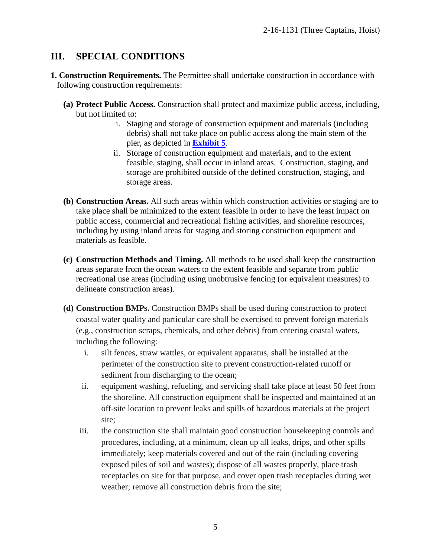# **III. SPECIAL CONDITIONS**

- **1. Construction Requirements.** The Permittee shall undertake construction in accordance with following construction requirements:
	- **(a) Protect Public Access.** Construction shall protect and maximize public access, including, but not limited to:
		- i. Staging and storage of construction equipment and materials (including debris) shall not take place on public access along the main stem of the pier, as depicted in **[Exhibit 5](https://documents.coastal.ca.gov/reports/2017/9/th18a/th18a-9-2017-exhibits.pdf)**.
		- ii. Storage of construction equipment and materials, and to the extent feasible, staging, shall occur in inland areas. Construction, staging, and storage are prohibited outside of the defined construction, staging, and storage areas.
	- **(b) Construction Areas.** All such areas within which construction activities or staging are to take place shall be minimized to the extent feasible in order to have the least impact on public access, commercial and recreational fishing activities, and shoreline resources, including by using inland areas for staging and storing construction equipment and materials as feasible.
	- **(c) Construction Methods and Timing.** All methods to be used shall keep the construction areas separate from the ocean waters to the extent feasible and separate from public recreational use areas (including using unobtrusive fencing (or equivalent measures) to delineate construction areas).
	- **(d) Construction BMPs.** Construction BMPs shall be used during construction to protect coastal water quality and particular care shall be exercised to prevent foreign materials (e.g., construction scraps, chemicals, and other debris) from entering coastal waters, including the following:
		- i. silt fences, straw wattles, or equivalent apparatus, shall be installed at the perimeter of the construction site to prevent construction-related runoff or sediment from discharging to the ocean;
		- ii. equipment washing, refueling, and servicing shall take place at least 50 feet from the shoreline. All construction equipment shall be inspected and maintained at an off-site location to prevent leaks and spills of hazardous materials at the project site;
		- iii. the construction site shall maintain good construction housekeeping controls and procedures, including, at a minimum, clean up all leaks, drips, and other spills immediately; keep materials covered and out of the rain (including covering exposed piles of soil and wastes); dispose of all wastes properly, place trash receptacles on site for that purpose, and cover open trash receptacles during wet weather; remove all construction debris from the site;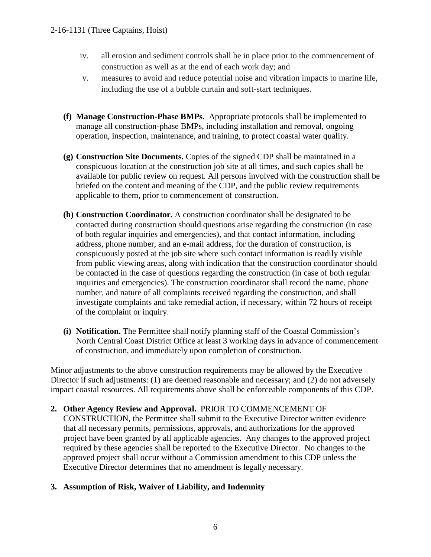- iv. all erosion and sediment controls shall be in place prior to the commencement of construction as well as at the end of each work day; and
- v. measures to avoid and reduce potential noise and vibration impacts to marine life, including the use of a bubble curtain and soft-start techniques.
- **(f) Manage Construction-Phase BMPs.** Appropriate protocols shall be implemented to manage all construction-phase BMPs, including installation and removal, ongoing operation, inspection, maintenance, and training, to protect coastal water quality.
- **(g) Construction Site Documents.** Copies of the signed CDP shall be maintained in a conspicuous location at the construction job site at all times, and such copies shall be available for public review on request. All persons involved with the construction shall be briefed on the content and meaning of the CDP, and the public review requirements applicable to them, prior to commencement of construction.
- **(h) Construction Coordinator.** A construction coordinator shall be designated to be contacted during construction should questions arise regarding the construction (in case of both regular inquiries and emergencies), and that contact information, including address, phone number, and an e-mail address, for the duration of construction, is conspicuously posted at the job site where such contact information is readily visible from public viewing areas, along with indication that the construction coordinator should be contacted in the case of questions regarding the construction (in case of both regular inquiries and emergencies). The construction coordinator shall record the name, phone number, and nature of all complaints received regarding the construction, and shall investigate complaints and take remedial action, if necessary, within 72 hours of receipt of the complaint or inquiry.
- **(i) Notification.** The Permittee shall notify planning staff of the Coastal Commission's North Central Coast District Office at least 3 working days in advance of commencement of construction, and immediately upon completion of construction.

Minor adjustments to the above construction requirements may be allowed by the Executive Director if such adjustments: (1) are deemed reasonable and necessary; and (2) do not adversely impact coastal resources. All requirements above shall be enforceable components of this CDP.

#### **2. Other Agency Review and Approval.** PRIOR TO COMMENCEMENT OF

CONSTRUCTION, the Permittee shall submit to the Executive Director written evidence that all necessary permits, permissions, approvals, and authorizations for the approved project have been granted by all applicable agencies. Any changes to the approved project required by these agencies shall be reported to the Executive Director. No changes to the approved project shall occur without a Commission amendment to this CDP unless the Executive Director determines that no amendment is legally necessary.

#### **3. Assumption of Risk, Waiver of Liability, and Indemnity**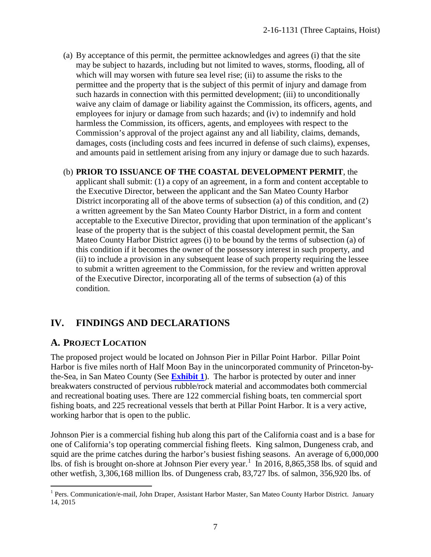(a) By acceptance of this permit, the permittee acknowledges and agrees (i) that the site may be subject to hazards, including but not limited to waves, storms, flooding, all of which will may worsen with future sea level rise; (ii) to assume the risks to the permittee and the property that is the subject of this permit of injury and damage from such hazards in connection with this permitted development; (iii) to unconditionally waive any claim of damage or liability against the Commission, its officers, agents, and employees for injury or damage from such hazards; and (iv) to indemnify and hold harmless the Commission, its officers, agents, and employees with respect to the Commission's approval of the project against any and all liability, claims, demands, damages, costs (including costs and fees incurred in defense of such claims), expenses, and amounts paid in settlement arising from any injury or damage due to such hazards.

#### (b) **PRIOR TO ISSUANCE OF THE COASTAL DEVELOPMENT PERMIT**, the

applicant shall submit: (1) a copy of an agreement, in a form and content acceptable to the Executive Director, between the applicant and the San Mateo County Harbor District incorporating all of the above terms of subsection (a) of this condition, and (2) a written agreement by the San Mateo County Harbor District, in a form and content acceptable to the Executive Director, providing that upon termination of the applicant's lease of the property that is the subject of this coastal development permit, the San Mateo County Harbor District agrees (i) to be bound by the terms of subsection (a) of this condition if it becomes the owner of the possessory interest in such property, and (ii) to include a provision in any subsequent lease of such property requiring the lessee to submit a written agreement to the Commission, for the review and written approval of the Executive Director, incorporating all of the terms of subsection (a) of this condition.

# **IV. FINDINGS AND DECLARATIONS**

#### **A. PROJECT LOCATION**

 $\overline{a}$ 

The proposed project would be located on Johnson Pier in Pillar Point Harbor. Pillar Point Harbor is five miles north of Half Moon Bay in the unincorporated community of Princeton-bythe-Sea, in San Mateo County (See **[Exhibit 1](https://documents.coastal.ca.gov/reports/2017/9/th18a/th18a-9-2017-exhibits.pdf)**). The harbor is protected by outer and inner breakwaters constructed of pervious rubble/rock material and accommodates both commercial and recreational boating uses. There are 122 commercial fishing boats, ten commercial sport fishing boats, and 225 recreational vessels that berth at Pillar Point Harbor. It is a very active, working harbor that is open to the public.

Johnson Pier is a commercial fishing hub along this part of the California coast and is a base for one of California's top operating commercial fishing fleets. King salmon, Dungeness crab, and squid are the prime catches during the harbor's busiest fishing seasons. An average of 6,000,000 lbs. of fish is brought on-shore at Johnson Pier every year.<sup>[1](#page-6-0)</sup> In 2016, 8,865,358 lbs. of squid and other wetfish, 3,306,168 million lbs. of Dungeness crab, 83,727 lbs. of salmon, 356,920 lbs. of

<span id="page-6-0"></span><sup>&</sup>lt;sup>1</sup> Pers. Communication/e-mail, John Draper, Assistant Harbor Master, San Mateo County Harbor District. January 14, 2015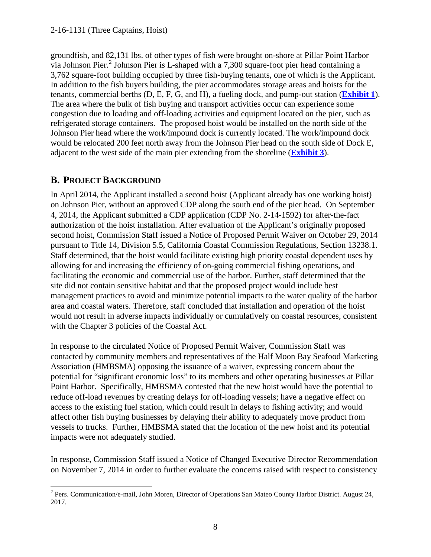groundfish, and 82,131 lbs. of other types of fish were brought on-shore at Pillar Point Harbor via Johnson Pier.<sup>[2](#page-7-0)</sup> Johnson Pier is L-shaped with a 7,300 square-foot pier head containing a 3,762 square-foot building occupied by three fish-buying tenants, one of which is the Applicant. In addition to the fish buyers building, the pier accommodates storage areas and hoists for the tenants, commercial berths (D, E, F, G, and H), a fueling dock, and pump-out station (**[Exhibit 1](https://documents.coastal.ca.gov/reports/2017/9/th18a/th18a-9-2017-exhibits.pdf)**). The area where the bulk of fish buying and transport activities occur can experience some congestion due to loading and off-loading activities and equipment located on the pier, such as refrigerated storage containers. The proposed hoist would be installed on the north side of the Johnson Pier head where the work/impound dock is currently located. The work/impound dock would be relocated 200 feet north away from the Johnson Pier head on the south side of Dock E, adjacent to the west side of the main pier extending from the shoreline (**[Exhibit 3](https://documents.coastal.ca.gov/reports/2017/9/th18a/th18a-9-2017-exhibits.pdf)**).

# **B. PROJECT BACKGROUND**

In April 2014, the Applicant installed a second hoist (Applicant already has one working hoist) on Johnson Pier, without an approved CDP along the south end of the pier head. On September 4, 2014, the Applicant submitted a CDP application (CDP No. 2-14-1592) for after-the-fact authorization of the hoist installation. After evaluation of the Applicant's originally proposed second hoist, Commission Staff issued a Notice of Proposed Permit Waiver on October 29, 2014 pursuant to Title 14, Division 5.5, California Coastal Commission Regulations, Section 13238.1. Staff determined, that the hoist would facilitate existing high priority coastal dependent uses by allowing for and increasing the efficiency of on-going commercial fishing operations, and facilitating the economic and commercial use of the harbor. Further, staff determined that the site did not contain sensitive habitat and that the proposed project would include best management practices to avoid and minimize potential impacts to the water quality of the harbor area and coastal waters. Therefore, staff concluded that installation and operation of the hoist would not result in adverse impacts individually or cumulatively on coastal resources, consistent with the Chapter 3 policies of the Coastal Act.

In response to the circulated Notice of Proposed Permit Waiver, Commission Staff was contacted by community members and representatives of the Half Moon Bay Seafood Marketing Association (HMBSMA) opposing the issuance of a waiver, expressing concern about the potential for "significant economic loss" to its members and other operating businesses at Pillar Point Harbor. Specifically, HMBSMA contested that the new hoist would have the potential to reduce off-load revenues by creating delays for off-loading vessels; have a negative effect on access to the existing fuel station, which could result in delays to fishing activity; and would affect other fish buying businesses by delaying their ability to adequately move product from vessels to trucks. Further, HMBSMA stated that the location of the new hoist and its potential impacts were not adequately studied.

In response, Commission Staff issued a Notice of Changed Executive Director Recommendation on November 7, 2014 in order to further evaluate the concerns raised with respect to consistency

<span id="page-7-0"></span> $\overline{a}$  $2^{2}$  Pers. Communication/e-mail, John Moren, Director of Operations San Mateo County Harbor District. August 24, 2017.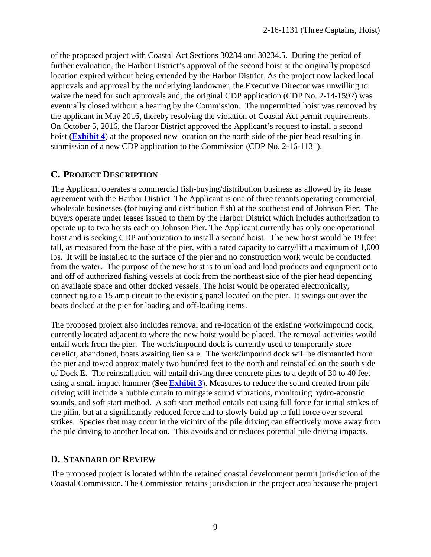of the proposed project with Coastal Act Sections 30234 and 30234.5. During the period of further evaluation, the Harbor District's approval of the second hoist at the originally proposed location expired without being extended by the Harbor District. As the project now lacked local approvals and approval by the underlying landowner, the Executive Director was unwilling to waive the need for such approvals and, the original CDP application (CDP No. 2-14-1592) was eventually closed without a hearing by the Commission. The unpermitted hoist was removed by the applicant in May 2016, thereby resolving the violation of Coastal Act permit requirements. On October 5, 2016, the Harbor District approved the Applicant's request to install a second hoist (**[Exhibit 4](https://documents.coastal.ca.gov/reports/2017/9/th18a/th18a-9-2017-exhibits.pdf)**) at the proposed new location on the north side of the pier head resulting in submission of a new CDP application to the Commission (CDP No. 2-16-1131).

#### **C. PROJECT DESCRIPTION**

The Applicant operates a commercial fish-buying/distribution business as allowed by its lease agreement with the Harbor District. The Applicant is one of three tenants operating commercial, wholesale businesses (for buying and distribution fish) at the southeast end of Johnson Pier. The buyers operate under leases issued to them by the Harbor District which includes authorization to operate up to two hoists each on Johnson Pier. The Applicant currently has only one operational hoist and is seeking CDP authorization to install a second hoist. The new hoist would be 19 feet tall, as measured from the base of the pier, with a rated capacity to carry/lift a maximum of 1,000 lbs. It will be installed to the surface of the pier and no construction work would be conducted from the water. The purpose of the new hoist is to unload and load products and equipment onto and off of authorized fishing vessels at dock from the northeast side of the pier head depending on available space and other docked vessels. The hoist would be operated electronically, connecting to a 15 amp circuit to the existing panel located on the pier. It swings out over the boats docked at the pier for loading and off-loading items.

The proposed project also includes removal and re-location of the existing work/impound dock, currently located adjacent to where the new hoist would be placed. The removal activities would entail work from the pier. The work/impound dock is currently used to temporarily store derelict, abandoned, boats awaiting lien sale. The work/impound dock will be dismantled from the pier and towed approximately two hundred feet to the north and reinstalled on the south side of Dock E. The reinstallation will entail driving three concrete piles to a depth of 30 to 40 feet using a small impact hammer (**See [Exhibit 3](https://documents.coastal.ca.gov/reports/2017/9/th18a/th18a-9-2017-exhibits.pdf)**). Measures to reduce the sound created from pile driving will include a bubble curtain to mitigate sound vibrations, monitoring hydro-acoustic sounds, and soft start method. A soft start method entails not using full force for initial strikes of the pilin, but at a significantly reduced force and to slowly build up to full force over several strikes. Species that may occur in the vicinity of the pile driving can effectively move away from the pile driving to another location. This avoids and or reduces potential pile driving impacts.

#### **D. STANDARD OF REVIEW**

The proposed project is located within the retained coastal development permit jurisdiction of the Coastal Commission. The Commission retains jurisdiction in the project area because the project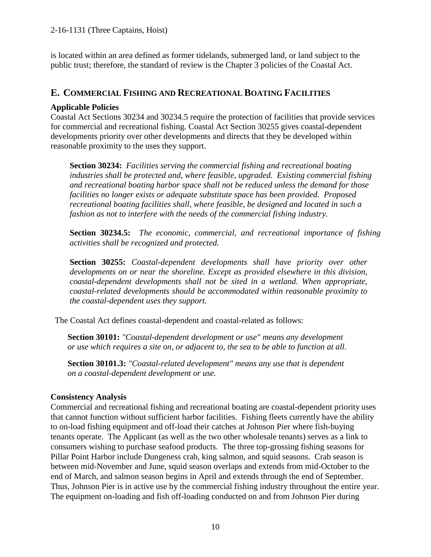is located within an area defined as former tidelands, submerged land, or land subject to the public trust; therefore, the standard of review is the Chapter 3 policies of the Coastal Act.

#### **E. COMMERCIAL FISHING AND RECREATIONAL BOATING FACILITIES**

#### **Applicable Policies**

Coastal Act Sections 30234 and 30234.5 require the protection of facilities that provide services for commercial and recreational fishing. Coastal Act Section 30255 gives coastal-dependent developments priority over other developments and directs that they be developed within reasonable proximity to the uses they support.

**Section 30234:** *Facilities serving the commercial fishing and recreational boating industries shall be protected and, where feasible, upgraded. Existing commercial fishing and recreational boating harbor space shall not be reduced unless the demand for those facilities no longer exists or adequate substitute space has been provided. Proposed recreational boating facilities shall, where feasible, be designed and located in such a fashion as not to interfere with the needs of the commercial fishing industry.* 

**Section 30234.5:** *The economic, commercial, and recreational importance of fishing activities shall be recognized and protected.*

**Section 30255:** *Coastal-dependent developments shall have priority over other developments on or near the shoreline. Except as provided elsewhere in this division, coastal-dependent developments shall not be sited in a wetland. When appropriate, coastal-related developments should be accommodated within reasonable proximity to the coastal-dependent uses they support.* 

The Coastal Act defines coastal-dependent and coastal-related as follows:

**Section 30101:** *"Coastal-dependent development or use" means any development or use which requires a site on, or adjacent to, the sea to be able to function at all.*

**Section 30101.3:** *"Coastal-related development" means any use that is dependent on a coastal-dependent development or use.*

#### **Consistency Analysis**

Commercial and recreational fishing and recreational boating are coastal-dependent priority uses that cannot function without sufficient harbor facilities. Fishing fleets currently have the ability to on-load fishing equipment and off-load their catches at Johnson Pier where fish-buying tenants operate. The Applicant (as well as the two other wholesale tenants) serves as a link to consumers wishing to purchase seafood products. The three top-grossing fishing seasons for Pillar Point Harbor include Dungeness crab, king salmon, and squid seasons. Crab season is between mid-November and June, squid season overlaps and extends from mid-October to the end of March, and salmon season begins in April and extends through the end of September. Thus, Johnson Pier is in active use by the commercial fishing industry throughout the entire year. The equipment on-loading and fish off-loading conducted on and from Johnson Pier during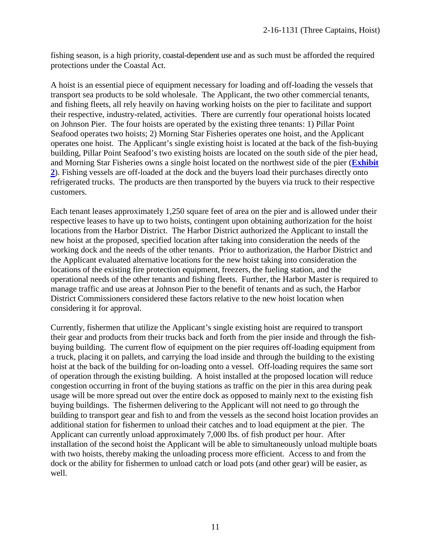fishing season, is a high priority, coastal-dependent use and as such must be afforded the required protections under the Coastal Act.

A hoist is an essential piece of equipment necessary for loading and off-loading the vessels that transport sea products to be sold wholesale. The Applicant, the two other commercial tenants, and fishing fleets, all rely heavily on having working hoists on the pier to facilitate and support their respective, industry-related, activities. There are currently four operational hoists located on Johnson Pier. The four hoists are operated by the existing three tenants: 1) Pillar Point Seafood operates two hoists; 2) Morning Star Fisheries operates one hoist, and the Applicant operates one hoist. The Applicant's single existing hoist is located at the back of the fish-buying building, Pillar Point Seafood's two existing hoists are located on the south side of the pier head, and Morning Star Fisheries owns a single hoist located on the northwest side of the pier (**[Exhibit](https://documents.coastal.ca.gov/reports/2017/9/th18a/th18a-9-2017-exhibits.pdf)  [2](https://documents.coastal.ca.gov/reports/2017/9/th18a/th18a-9-2017-exhibits.pdf)**). Fishing vessels are off-loaded at the dock and the buyers load their purchases directly onto refrigerated trucks. The products are then transported by the buyers via truck to their respective customers.

Each tenant leases approximately 1,250 square feet of area on the pier and is allowed under their respective leases to have up to two hoists, contingent upon obtaining authorization for the hoist locations from the Harbor District. The Harbor District authorized the Applicant to install the new hoist at the proposed, specified location after taking into consideration the needs of the working dock and the needs of the other tenants. Prior to authorization, the Harbor District and the Applicant evaluated alternative locations for the new hoist taking into consideration the locations of the existing fire protection equipment, freezers, the fueling station, and the operational needs of the other tenants and fishing fleets. Further, the Harbor Master is required to manage traffic and use areas at Johnson Pier to the benefit of tenants and as such, the Harbor District Commissioners considered these factors relative to the new hoist location when considering it for approval.

Currently, fishermen that utilize the Applicant's single existing hoist are required to transport their gear and products from their trucks back and forth from the pier inside and through the fishbuying building. The current flow of equipment on the pier requires off-loading equipment from a truck, placing it on pallets, and carrying the load inside and through the building to the existing hoist at the back of the building for on-loading onto a vessel. Off-loading requires the same sort of operation through the existing building. A hoist installed at the proposed location will reduce congestion occurring in front of the buying stations as traffic on the pier in this area during peak usage will be more spread out over the entire dock as opposed to mainly next to the existing fish buying buildings. The fishermen delivering to the Applicant will not need to go through the building to transport gear and fish to and from the vessels as the second hoist location provides an additional station for fishermen to unload their catches and to load equipment at the pier. The Applicant can currently unload approximately 7,000 lbs. of fish product per hour. After installation of the second hoist the Applicant will be able to simultaneously unload multiple boats with two hoists, thereby making the unloading process more efficient. Access to and from the dock or the ability for fishermen to unload catch or load pots (and other gear) will be easier, as well.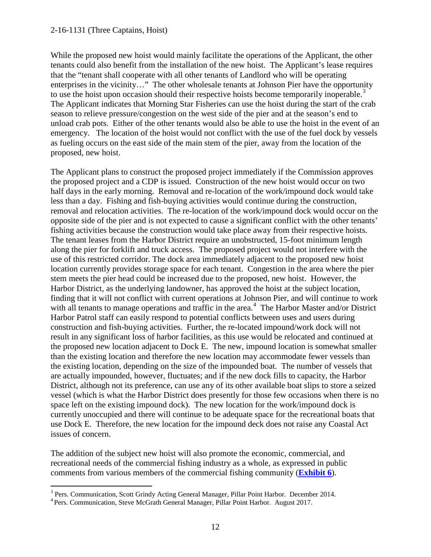#### 2-16-1131 (Three Captains, Hoist)

While the proposed new hoist would mainly facilitate the operations of the Applicant, the other tenants could also benefit from the installation of the new hoist. The Applicant's lease requires that the "tenant shall cooperate with all other tenants of Landlord who will be operating enterprises in the vicinity…" The other wholesale tenants at Johnson Pier have the opportunity to use the hoist upon occasion should their respective hoists become temporarily inoperable.<sup>[3](#page-11-0)</sup> The Applicant indicates that Morning Star Fisheries can use the hoist during the start of the crab season to relieve pressure/congestion on the west side of the pier and at the season's end to unload crab pots. Either of the other tenants would also be able to use the hoist in the event of an emergency. The location of the hoist would not conflict with the use of the fuel dock by vessels as fueling occurs on the east side of the main stem of the pier, away from the location of the proposed, new hoist.

The Applicant plans to construct the proposed project immediately if the Commission approves the proposed project and a CDP is issued. Construction of the new hoist would occur on two half days in the early morning. Removal and re-location of the work/impound dock would take less than a day. Fishing and fish-buying activities would continue during the construction, removal and relocation activities. The re-location of the work/impound dock would occur on the opposite side of the pier and is not expected to cause a significant conflict with the other tenants' fishing activities because the construction would take place away from their respective hoists. The tenant leases from the Harbor District require an unobstructed, 15-foot minimum length along the pier for forklift and truck access. The proposed project would not interfere with the use of this restricted corridor. The dock area immediately adjacent to the proposed new hoist location currently provides storage space for each tenant. Congestion in the area where the pier stem meets the pier head could be increased due to the proposed, new hoist. However, the Harbor District, as the underlying landowner, has approved the hoist at the subject location, finding that it will not conflict with current operations at Johnson Pier, and will continue to work with all tenants to manage operations and traffic in the area.<sup>[4](#page-11-1)</sup> The Harbor Master and/or District Harbor Patrol staff can easily respond to potential conflicts between uses and users during construction and fish-buying activities. Further, the re-located impound/work dock will not result in any significant loss of harbor facilities, as this use would be relocated and continued at the proposed new location adjacent to Dock E. The new, impound location is somewhat smaller than the existing location and therefore the new location may accommodate fewer vessels than the existing location, depending on the size of the impounded boat. The number of vessels that are actually impounded, however, fluctuates; and if the new dock fills to capacity, the Harbor District, although not its preference, can use any of its other available boat slips to store a seized vessel (which is what the Harbor District does presently for those few occasions when there is no space left on the existing impound dock). The new location for the work/impound dock is currently unoccupied and there will continue to be adequate space for the recreational boats that use Dock E. Therefore, the new location for the impound deck does not raise any Coastal Act issues of concern.

The addition of the subject new hoist will also promote the economic, commercial, and recreational needs of the commercial fishing industry as a whole, as expressed in public comments from various members of the commercial fishing community (**[Exhibit 6](https://documents.coastal.ca.gov/reports/2017/9/th18a/th18a-9-2017-exhibits.pdf)**).

<span id="page-11-0"></span> $\overline{a}$ <sup>3</sup> Pers. Communication, Scott Grindy Acting General Manager, Pillar Point Harbor. December 2014.

<span id="page-11-1"></span><sup>&</sup>lt;sup>4</sup> Pers. Communication, Steve McGrath General Manager, Pillar Point Harbor. August 2017.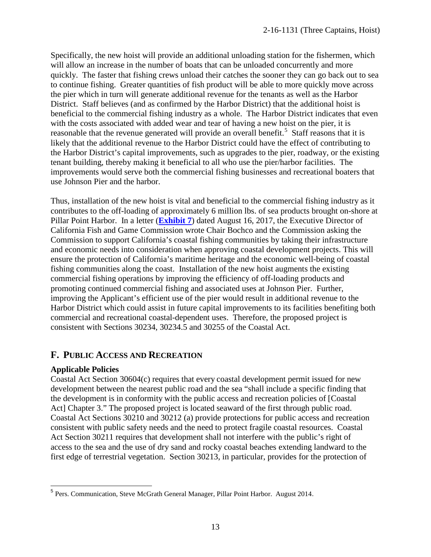Specifically, the new hoist will provide an additional unloading station for the fishermen, which will allow an increase in the number of boats that can be unloaded concurrently and more quickly. The faster that fishing crews unload their catches the sooner they can go back out to sea to continue fishing. Greater quantities of fish product will be able to more quickly move across the pier which in turn will generate additional revenue for the tenants as well as the Harbor District. Staff believes (and as confirmed by the Harbor District) that the additional hoist is beneficial to the commercial fishing industry as a whole. The Harbor District indicates that even with the costs associated with added wear and tear of having a new hoist on the pier, it is reasonable that the revenue generated will provide an overall benefit.<sup>[5](#page-12-0)</sup> Staff reasons that it is likely that the additional revenue to the Harbor District could have the effect of contributing to the Harbor District's capital improvements, such as upgrades to the pier, roadway, or the existing tenant building, thereby making it beneficial to all who use the pier/harbor facilities. The improvements would serve both the commercial fishing businesses and recreational boaters that use Johnson Pier and the harbor.

Thus, installation of the new hoist is vital and beneficial to the commercial fishing industry as it contributes to the off-loading of approximately 6 million lbs. of sea products brought on-shore at Pillar Point Harbor. In a letter (**[Exhibit 7](https://documents.coastal.ca.gov/reports/2017/9/th18a/th18a-9-2017-exhibits.pdf)**) dated August 16, 2017, the Executive Director of California Fish and Game Commission wrote Chair Bochco and the Commission asking the Commission to support California's coastal fishing communities by taking their infrastructure and economic needs into consideration when approving coastal development projects. This will ensure the protection of California's maritime heritage and the economic well-being of coastal fishing communities along the coast. Installation of the new hoist augments the existing commercial fishing operations by improving the efficiency of off-loading products and promoting continued commercial fishing and associated uses at Johnson Pier. Further, improving the Applicant's efficient use of the pier would result in additional revenue to the Harbor District which could assist in future capital improvements to its facilities benefiting both commercial and recreational coastal-dependent uses. Therefore, the proposed project is consistent with Sections 30234, 30234.5 and 30255 of the Coastal Act.

# **F. PUBLIC ACCESS AND RECREATION**

#### **Applicable Policies**

Coastal Act Section 30604(c) requires that every coastal development permit issued for new development between the nearest public road and the sea "shall include a specific finding that the development is in conformity with the public access and recreation policies of [Coastal Act] Chapter 3." The proposed project is located seaward of the first through public road. Coastal Act Sections 30210 and 30212 (a) provide protections for public access and recreation consistent with public safety needs and the need to protect fragile coastal resources. Coastal Act Section 30211 requires that development shall not interfere with the public's right of access to the sea and the use of dry sand and rocky coastal beaches extending landward to the first edge of terrestrial vegetation. Section 30213, in particular, provides for the protection of

<span id="page-12-0"></span> $\overline{a}$ <sup>5</sup> Pers. Communication, Steve McGrath General Manager, Pillar Point Harbor. August 2014.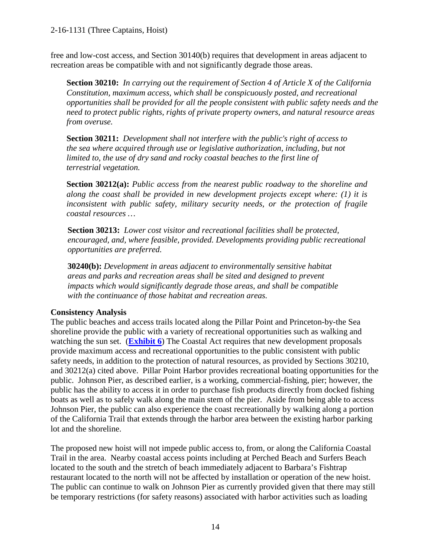free and low-cost access, and Section 30140(b) requires that development in areas adjacent to recreation areas be compatible with and not significantly degrade those areas.

**Section 30210:** *In carrying out the requirement of Section 4 of Article X of the California Constitution, maximum access, which shall be conspicuously posted, and recreational opportunities shall be provided for all the people consistent with public safety needs and the need to protect public rights, rights of private property owners, and natural resource areas from overuse.*

**Section 30211:** *Development shall not interfere with the public's right of access to the sea where acquired through use or legislative authorization, including, but not limited to, the use of dry sand and rocky coastal beaches to the first line of terrestrial vegetation.*

**Section 30212(a):** *Public access from the nearest public roadway to the shoreline and along the coast shall be provided in new development projects except where: (1) it is inconsistent with public safety, military security needs, or the protection of fragile coastal resources …* 

**Section 30213:** *Lower cost visitor and recreational facilities shall be protected, encouraged, and, where feasible, provided. Developments providing public recreational opportunities are preferred.*

**30240(b):** *Development in areas adjacent to environmentally sensitive habitat areas and parks and recreation areas shall be sited and designed to prevent impacts which would significantly degrade those areas, and shall be compatible with the continuance of those habitat and recreation areas.*

# **Consistency Analysis**

The public beaches and access trails located along the Pillar Point and Princeton-by-the Sea shoreline provide the public with a variety of recreational opportunities such as walking and watching the sun set. (**[Exhibit 6](https://documents.coastal.ca.gov/reports/2017/9/th18a/th18a-9-2017-exhibits.pdf)**) The Coastal Act requires that new development proposals provide maximum access and recreational opportunities to the public consistent with public safety needs, in addition to the protection of natural resources, as provided by Sections 30210, and 30212(a) cited above. Pillar Point Harbor provides recreational boating opportunities for the public. Johnson Pier, as described earlier, is a working, commercial-fishing, pier; however, the public has the ability to access it in order to purchase fish products directly from docked fishing boats as well as to safely walk along the main stem of the pier. Aside from being able to access Johnson Pier, the public can also experience the coast recreationally by walking along a portion of the California Trail that extends through the harbor area between the existing harbor parking lot and the shoreline.

The proposed new hoist will not impede public access to, from, or along the California Coastal Trail in the area. Nearby coastal access points including at Perched Beach and Surfers Beach located to the south and the stretch of beach immediately adjacent to Barbara's Fishtrap restaurant located to the north will not be affected by installation or operation of the new hoist. The public can continue to walk on Johnson Pier as currently provided given that there may still be temporary restrictions (for safety reasons) associated with harbor activities such as loading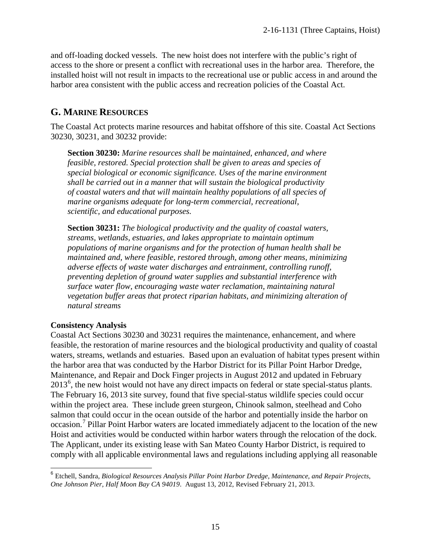and off-loading docked vessels. The new hoist does not interfere with the public's right of access to the shore or present a conflict with recreational uses in the harbor area. Therefore, the installed hoist will not result in impacts to the recreational use or public access in and around the harbor area consistent with the public access and recreation policies of the Coastal Act.

#### **G. MARINE RESOURCES**

The Coastal Act protects marine resources and habitat offshore of this site. Coastal Act Sections 30230, 30231, and 30232 provide:

**Section 30230:** *Marine resources shall be maintained, enhanced, and where feasible, restored. Special protection shall be given to areas and species of special biological or economic significance. Uses of the marine environment shall be carried out in a manner that will sustain the biological productivity of coastal waters and that will maintain healthy populations of all species of marine organisms adequate for long-term commercial, recreational, scientific, and educational purposes.*

**Section 30231:** *The biological productivity and the quality of coastal waters, streams, wetlands, estuaries, and lakes appropriate to maintain optimum populations of marine organisms and for the protection of human health shall be maintained and, where feasible, restored through, among other means, minimizing adverse effects of waste water discharges and entrainment, controlling runoff, preventing depletion of ground water supplies and substantial interference with surface water flow, encouraging waste water reclamation, maintaining natural vegetation buffer areas that protect riparian habitats, and minimizing alteration of natural streams* 

#### **Consistency Analysis**

Coastal Act Sections 30230 and 30231 requires the maintenance, enhancement, and where feasible, the restoration of marine resources and the biological productivity and quality of coastal waters, streams, wetlands and estuaries. Based upon an evaluation of habitat types present within the harbor area that was conducted by the Harbor District for its Pillar Point Harbor Dredge, Maintenance, and Repair and Dock Finger projects in August 2012 and updated in February 2013<sup>[6](#page-14-0)</sup>, the new hoist would not have any direct impacts on federal or state special-status plants. The February 16, 2013 site survey, found that five special-status wildlife species could occur within the project area. These include green sturgeon, Chinook salmon, steelhead and Coho salmon that could occur in the ocean outside of the harbor and potentially inside the harbor on occasion.<sup>[7](#page-14-1)</sup> Pillar Point Harbor waters are located immediately adjacent to the location of the new Hoist and activities would be conducted within harbor waters through the relocation of the dock. The Applicant, under its existing lease with San Mateo County Harbor District, is required to comply with all applicable environmental laws and regulations including applying all reasonable

<span id="page-14-1"></span><span id="page-14-0"></span> $\overline{\phantom{a}}$ <sup>6</sup> Etchell, Sandra, *Biological Resources Analysis Pillar Point Harbor Dredge, Maintenance, and Repair Projects, One Johnson Pier, Half Moon Bay CA 94019*. August 13, 2012, Revised February 21, 2013.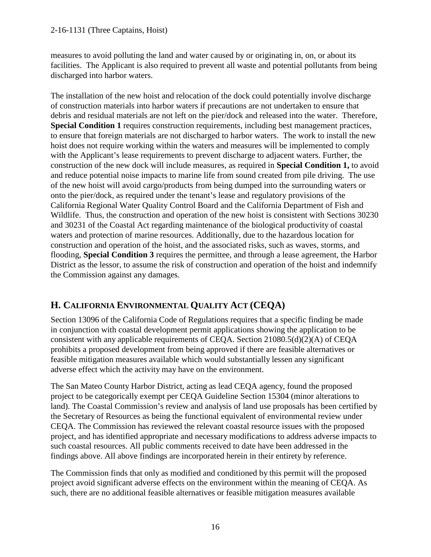#### 2-16-1131 (Three Captains, Hoist)

measures to avoid polluting the land and water caused by or originating in, on, or about its facilities. The Applicant is also required to prevent all waste and potential pollutants from being discharged into harbor waters.

The installation of the new hoist and relocation of the dock could potentially involve discharge of construction materials into harbor waters if precautions are not undertaken to ensure that debris and residual materials are not left on the pier/dock and released into the water. Therefore, **Special Condition 1** requires construction requirements, including best management practices, to ensure that foreign materials are not discharged to harbor waters. The work to install the new hoist does not require working within the waters and measures will be implemented to comply with the Applicant's lease requirements to prevent discharge to adjacent waters. Further, the construction of the new dock will include measures, as required in **Special Condition 1,** to avoid and reduce potential noise impacts to marine life from sound created from pile driving. The use of the new hoist will avoid cargo/products from being dumped into the surrounding waters or onto the pier/dock, as required under the tenant's lease and regulatory provisions of the California Regional Water Quality Control Board and the California Department of Fish and Wildlife. Thus, the construction and operation of the new hoist is consistent with Sections 30230 and 30231 of the Coastal Act regarding maintenance of the biological productivity of coastal waters and protection of marine resources. Additionally, due to the hazardous location for construction and operation of the hoist, and the associated risks, such as waves, storms, and flooding, **Special Condition 3** requires the permittee, and through a lease agreement, the Harbor District as the lessor, to assume the risk of construction and operation of the hoist and indemnify the Commission against any damages.

# **H. CALIFORNIA ENVIRONMENTAL QUALITY ACT (CEQA)**

Section 13096 of the California Code of Regulations requires that a specific finding be made in conjunction with coastal development permit applications showing the application to be consistent with any applicable requirements of CEQA. Section 21080.5(d)(2)(A) of CEQA prohibits a proposed development from being approved if there are feasible alternatives or feasible mitigation measures available which would substantially lessen any significant adverse effect which the activity may have on the environment.

The San Mateo County Harbor District, acting as lead CEQA agency, found the proposed project to be categorically exempt per CEQA Guideline Section 15304 (minor alterations to land). The Coastal Commission's review and analysis of land use proposals has been certified by the Secretary of Resources as being the functional equivalent of environmental review under CEQA. The Commission has reviewed the relevant coastal resource issues with the proposed project, and has identified appropriate and necessary modifications to address adverse impacts to such coastal resources. All public comments received to date have been addressed in the findings above. All above findings are incorporated herein in their entirety by reference.

The Commission finds that only as modified and conditioned by this permit will the proposed project avoid significant adverse effects on the environment within the meaning of CEQA. As such, there are no additional feasible alternatives or feasible mitigation measures available